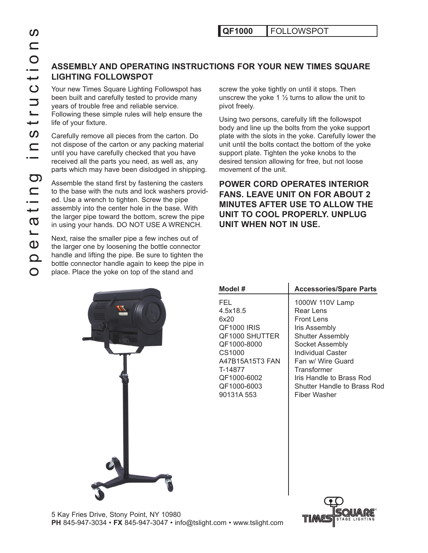# QF1000 FOLLOWSPOT

# **Assemb ly and Operating Instructions for Your New Times Square**  LIGHTING FOLLOWSPOT

been built and carefully tested to provide many years of trouble free and reliable service. Following these simple rules will help ensure the life of your fixture.

Carefully remove all pieces from the carton. Do not dispose of the carton or any packing material until you have carefully checked that you have received all the parts you need, as well as, any parts which may have been dislodged in shipping.

operations Continuous Text in the saughting in the search of the larger of the larger of the larger of the larger of the control and carefully text of the carbon of dispose of the carton of any carefully remove all pieces Assemble the stand first by fastening the casters to the base with the nuts and lock washers provid ed. Use a wrench to tighten. Screw the pipe assembly into the center hole in the base. With the larger pipe toward the bottom, screw the pipe in using your hands. DO NOT USE A WRENCH.

Next, raise the smaller pipe a few inches out of the larger one by loosening the bottle connector handle and lifting the pipe. Be sure to tighten the bottle connector handle again to keep the pipe in place. Place the yoke on top of the stand and

screw the yoke tightly on until it stops. Then unscrew the yoke 1  $\frac{1}{2}$  turns to allow the unit to pivot freely.

Using two persons, carefully lift the followspot body and line up the bolts from the yoke support plate with the slots in the yoke. Carefully lower the unit until the bolts contact the bottom of the yoke support plate. Tighten the yoke knobs to the desired tension allowing for free, but not loose movement of the unit.

**Power cord o perates interior fans. Leave unit on for about 2 MINUTES AFTER USE TO ALLOW THE** UNIT TO COOL PROPERLY. UNPLUG **unit when not in use.**



| Model #                                                                                                                                                            | <b>Accessories/Spare Parts</b>                                                                                                                                                                                                                                     |
|--------------------------------------------------------------------------------------------------------------------------------------------------------------------|--------------------------------------------------------------------------------------------------------------------------------------------------------------------------------------------------------------------------------------------------------------------|
| FFL<br>4.5x18.5<br>6x20<br>QF1000 IRIS<br><b>OF1000 SHUTTER</b><br>QF1000-8000<br>CS1000<br>A47B15A15T3 FAN<br>T-14877<br>QF1000-6002<br>QF1000-6003<br>90131A 553 | 1000W 110V Lamp<br>Rear Lens<br><b>Front Lens</b><br><b>Iris Assembly</b><br><b>Shutter Assembly</b><br>Socket Assembly<br>Individual Caster<br>Fan w/ Wire Guard<br>Transformer<br>Iris Handle to Brass Rod<br>Shutter Handle to Brass Rod<br><b>Fiber Washer</b> |
|                                                                                                                                                                    |                                                                                                                                                                                                                                                                    |



5 Kay Fries Drive, Stony Point, NY 10980 **PH** 845-947-3034 • **FX** 845-947-3047 • info@tslight.com • www.tslight.com